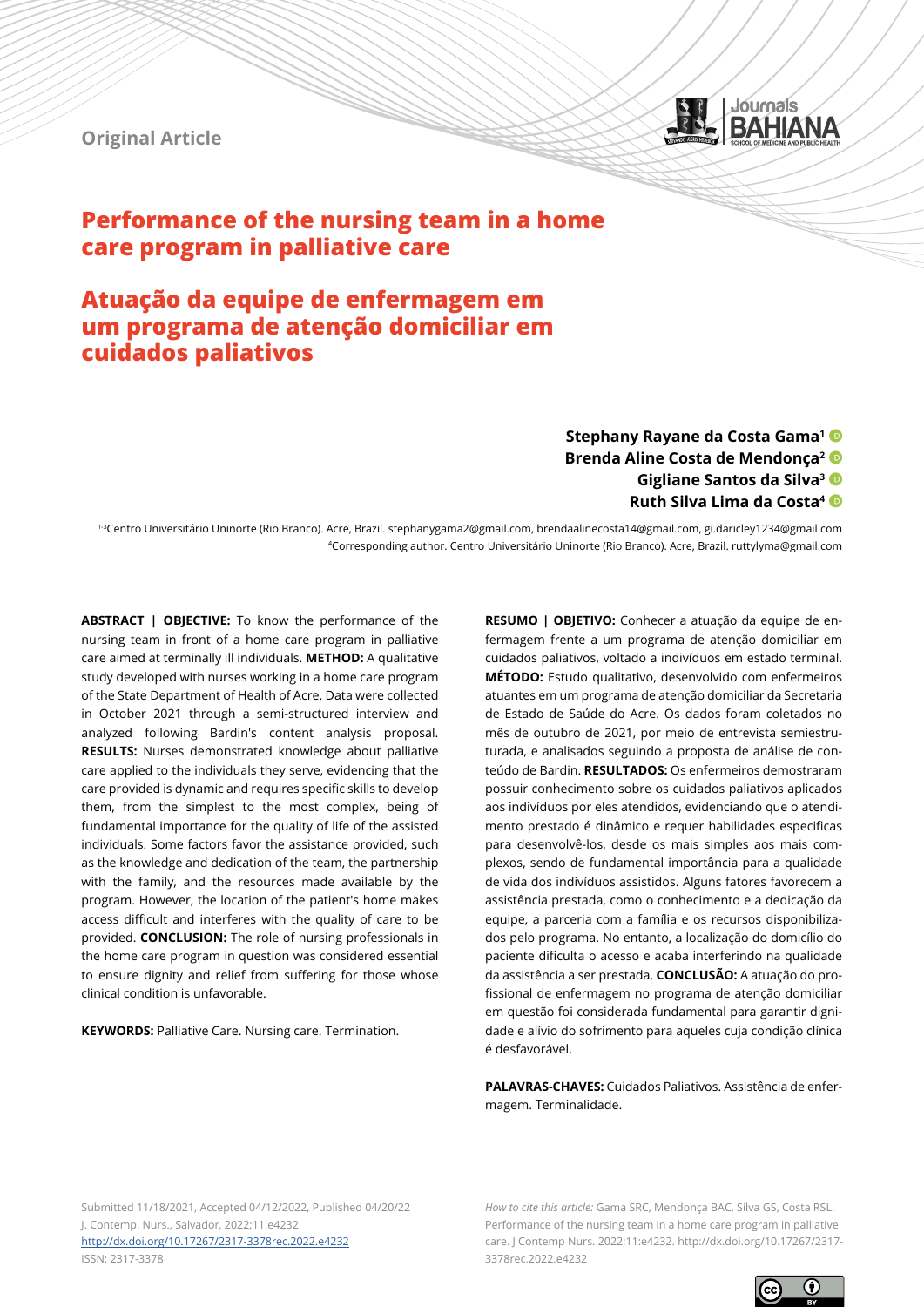**Original Article**



# **Performance of the nursing team in a home care program in palliative care**

# **Atuação da equipe de enfermagem em um programa de atenção domiciliar em cuidados paliativos**

### **Stephany Rayane da Costa Gama1 Brenda Aline Costa de Mendonça2 Gigliane Santos da Silva3 Ruth Silva Lima da Costa4**

1-3Centro Universitário Uninorte (Rio Branco). Acre, Brazil. stephanygama2@gmail.com, brendaalinecosta14@gmail.com, gi.daricley1234@gmail.com 4Corresponding author. Centro Universitário Uninorte (Rio Branco). Acre, Brazil. ruttylyma@gmail.com

**ABSTRACT | OBJECTIVE:** To know the performance of the nursing team in front of a home care program in palliative care aimed at terminally ill individuals. **METHOD:** A qualitative study developed with nurses working in a home care program of the State Department of Health of Acre. Data were collected in October 2021 through a semi-structured interview and analyzed following Bardin's content analysis proposal. **RESULTS:** Nurses demonstrated knowledge about palliative care applied to the individuals they serve, evidencing that the care provided is dynamic and requires specific skills to develop them, from the simplest to the most complex, being of fundamental importance for the quality of life of the assisted individuals. Some factors favor the assistance provided, such as the knowledge and dedication of the team, the partnership with the family, and the resources made available by the program. However, the location of the patient's home makes access difficult and interferes with the quality of care to be provided. **CONCLUSION:** The role of nursing professionals in the home care program in question was considered essential to ensure dignity and relief from suffering for those whose clinical condition is unfavorable.

**KEYWORDS:** Palliative Care. Nursing care. Termination.

**RESUMO | OBJETIVO:** Conhecer a atuação da equipe de enfermagem frente a um programa de atenção domiciliar em cuidados paliativos, voltado a indivíduos em estado terminal. **MÉTODO:** Estudo qualitativo, desenvolvido com enfermeiros atuantes em um programa de atenção domiciliar da Secretaria de Estado de Saúde do Acre. Os dados foram coletados no mês de outubro de 2021, por meio de entrevista semiestruturada, e analisados seguindo a proposta de análise de conteúdo de Bardin. **RESULTADOS:** Os enfermeiros demostraram possuir conhecimento sobre os cuidados paliativos aplicados aos indivíduos por eles atendidos, evidenciando que o atendimento prestado é dinâmico e requer habilidades especificas para desenvolvê-los, desde os mais simples aos mais complexos, sendo de fundamental importância para a qualidade de vida dos indivíduos assistidos. Alguns fatores favorecem a assistência prestada, como o conhecimento e a dedicação da equipe, a parceria com a família e os recursos disponibilizados pelo programa. No entanto, a localização do domicílio do paciente dificulta o acesso e acaba interferindo na qualidade da assistência a ser prestada. **CONCLUSÃO:** A atuação do profissional de enfermagem no programa de atenção domiciliar em questão foi considerada fundamental para garantir dignidade e alívio do sofrimento para aqueles cuja condição clínica é desfavorável.

**PALAVRAS-CHAVES:** Cuidados Paliativos. Assistência de enfermagem. Terminalidade.

Submitted 11/18/2021, Accepted 04/12/2022, Published 04/20/22 J. Contemp. Nurs., Salvador, 2022;11:e4232 <http://dx.doi.org/10.17267/2317-3378rec.2022.e4232> ISSN: 2317-3378

*How to cite this article:* Gama SRC, Mendonça BAC, Silva GS, Costa RSL. Performance of the nursing team in a home care program in palliative care. J Contemp Nurs. 2022;11:e4232. http://dx.doi.org/10.17267/2317- 3378rec.2022.e4232

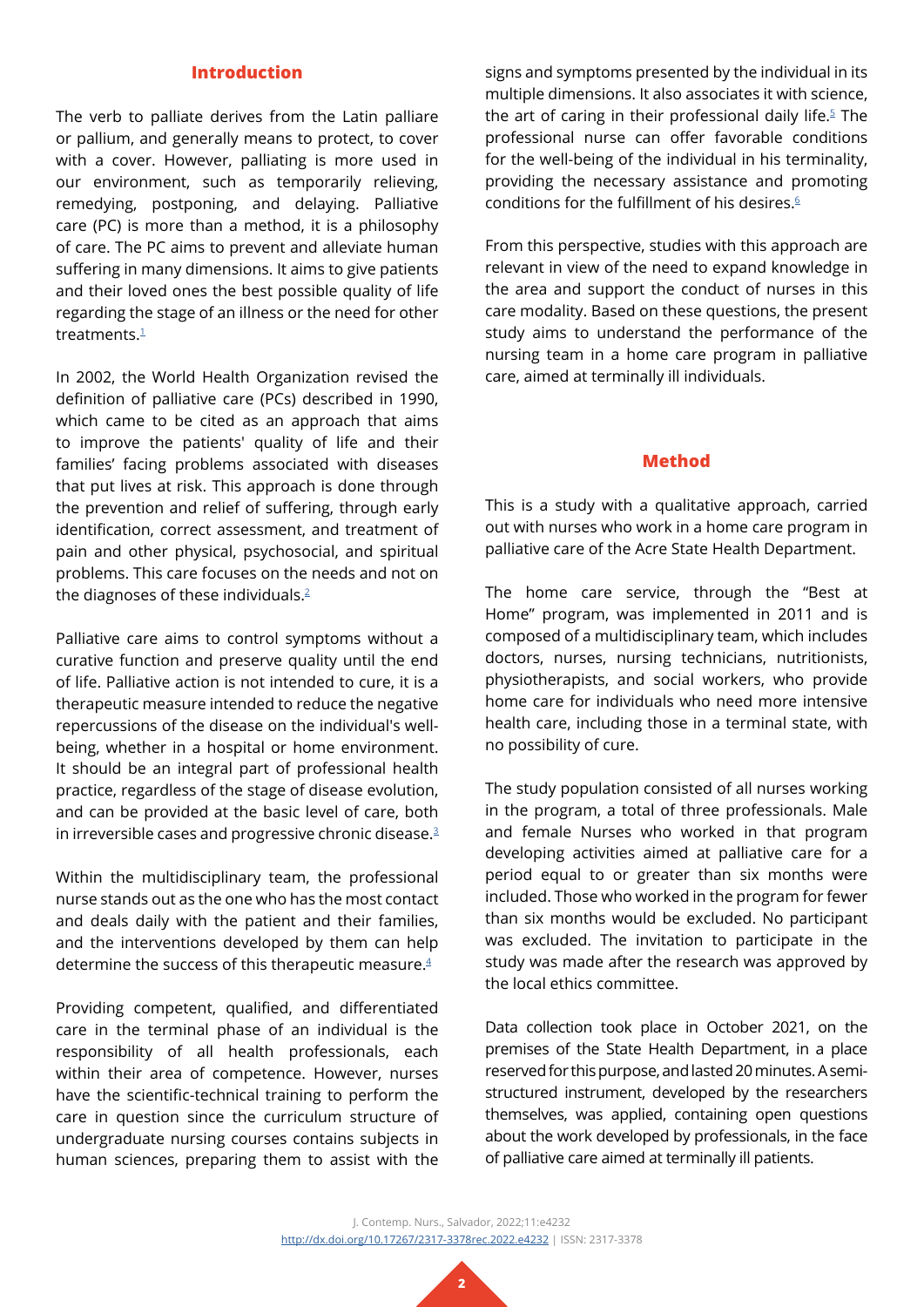#### **Introduction**

The verb to palliate derives from the Latin palliare or pallium, and generally means to protect, to cover with a cover. However, palliating is more used in our environment, such as temporarily relieving, remedying, postponing, and delaying. Palliative care (PC) is more than a method, it is a philosophy of care. The PC aims to prevent and alleviate human suffering in many dimensions. It aims to give patients and their loved ones the best possible quality of life regarding the stage of an illness or the need for other treatments $1$ 

In 2002, the World Health Organization revised the definition of palliative care (PCs) described in 1990, which came to be cited as an approach that aims to improve the patients' quality of life and their families' facing problems associated with diseases that put lives at risk. This approach is done through the prevention and relief of suffering, through early identification, correct assessment, and treatment of pain and other physical, psychosocial, and spiritual problems. This care focuses on the needs and not on the diagnoses of these individuals.<sup>2</sup>

Palliative care aims to control symptoms without a curative function and preserve quality until the end of life. Palliative action is not intended to cure, it is a therapeutic measure intended to reduce the negative repercussions of the disease on the individual's wellbeing, whether in a hospital or home environment. It should be an integral part of professional health practice, regardless of the stage of disease evolution, and can be provided at the basic level of care, both in irreversible cases and progressive chronic disease.<sup>3</sup>

Within the multidisciplinary team, the professional nurse stands out as the one who has the most contact and deals daily with the patient and their families, and the interventions developed by them can help determine the success of this therapeutic measure.[4](#page-5-3)

Providing competent, qualified, and differentiated care in the terminal phase of an individual is the responsibility of all health professionals, each within their area of competence. However, nurses have the scientific-technical training to perform the care in question since the curriculum structure of undergraduate nursing courses contains subjects in human sciences, preparing them to assist with the

signs and symptoms presented by the individual in its multiple dimensions. It also associates it with science, the art of caring in their professional daily life. $5$  The professional nurse can offer favorable conditions for the well-being of the individual in his terminality, providing the necessary assistance and promoting conditions for the fulfillment of his desires. $6$ 

From this perspective, studies with this approach are relevant in view of the need to expand knowledge in the area and support the conduct of nurses in this care modality. Based on these questions, the present study aims to understand the performance of the nursing team in a home care program in palliative care, aimed at terminally ill individuals.

#### **Method**

This is a study with a qualitative approach, carried out with nurses who work in a home care program in palliative care of the Acre State Health Department.

The home care service, through the "Best at Home" program, was implemented in 2011 and is composed of a multidisciplinary team, which includes doctors, nurses, nursing technicians, nutritionists, physiotherapists, and social workers, who provide home care for individuals who need more intensive health care, including those in a terminal state, with no possibility of cure.

The study population consisted of all nurses working in the program, a total of three professionals. Male and female Nurses who worked in that program developing activities aimed at palliative care for a period equal to or greater than six months were included. Those who worked in the program for fewer than six months would be excluded. No participant was excluded. The invitation to participate in the study was made after the research was approved by the local ethics committee.

Data collection took place in October 2021, on the premises of the State Health Department, in a place reserved for this purpose, and lasted 20 minutes. A semistructured instrument, developed by the researchers themselves, was applied, containing open questions about the work developed by professionals, in the face of palliative care aimed at terminally ill patients.

J. Contemp. Nurs., Salvador, 2022;11:e4232 <http://dx.doi.org/10.17267/2317-3378rec.2022.e4232>| ISSN: 2317-3378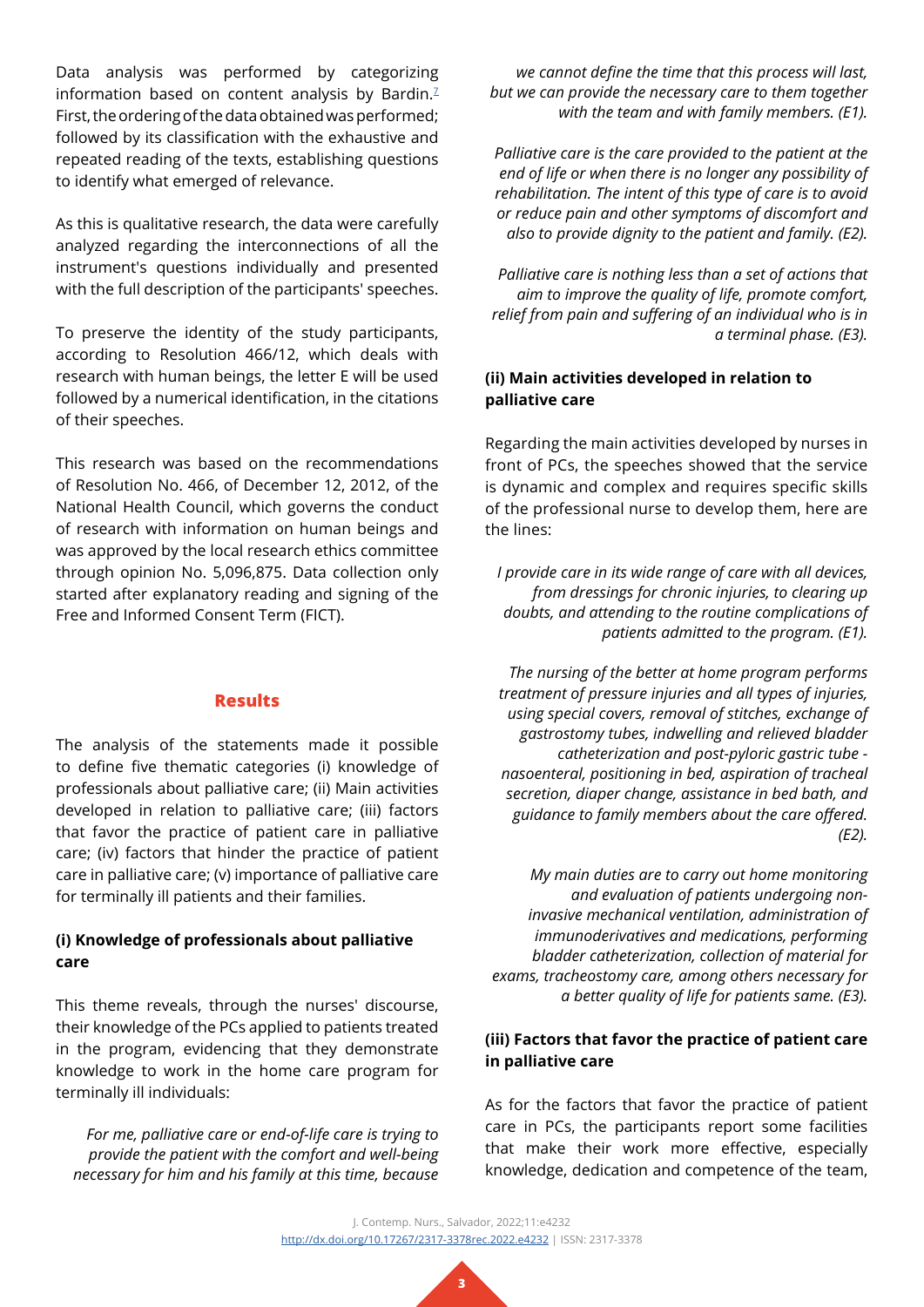Data analysis was performed by categorizing information based on content analysis by Bardin. $<sup>7</sup>$ </sup> First, the ordering of the data obtained was performed; followed by its classification with the exhaustive and repeated reading of the texts, establishing questions to identify what emerged of relevance.

As this is qualitative research, the data were carefully analyzed regarding the interconnections of all the instrument's questions individually and presented with the full description of the participants' speeches.

To preserve the identity of the study participants, according to Resolution 466/12, which deals with research with human beings, the letter E will be used followed by a numerical identification, in the citations of their speeches.

This research was based on the recommendations of Resolution No. 466, of December 12, 2012, of the National Health Council, which governs the conduct of research with information on human beings and was approved by the local research ethics committee through opinion No. 5,096,875. Data collection only started after explanatory reading and signing of the Free and Informed Consent Term (FICT).

#### **Results**

The analysis of the statements made it possible to define five thematic categories (i) knowledge of professionals about palliative care; (ii) Main activities developed in relation to palliative care; (iii) factors that favor the practice of patient care in palliative care; (iv) factors that hinder the practice of patient care in palliative care; (v) importance of palliative care for terminally ill patients and their families.

#### **(i) Knowledge of professionals about palliative care**

This theme reveals, through the nurses' discourse, their knowledge of the PCs applied to patients treated in the program, evidencing that they demonstrate knowledge to work in the home care program for terminally ill individuals:

*For me, palliative care or end-of-life care is trying to provide the patient with the comfort and well-being necessary for him and his family at this time, because* 

*we cannot define the time that this process will last, but we can provide the necessary care to them together with the team and with family members. (E1).*

*Palliative care is the care provided to the patient at the end of life or when there is no longer any possibility of rehabilitation. The intent of this type of care is to avoid or reduce pain and other symptoms of discomfort and also to provide dignity to the patient and family. (E2).*

*Palliative care is nothing less than a set of actions that aim to improve the quality of life, promote comfort, relief from pain and suffering of an individual who is in a terminal phase. (E3).*

#### **(ii) Main activities developed in relation to palliative care**

Regarding the main activities developed by nurses in front of PCs, the speeches showed that the service is dynamic and complex and requires specific skills of the professional nurse to develop them, here are the lines:

*I provide care in its wide range of care with all devices, from dressings for chronic injuries, to clearing up doubts, and attending to the routine complications of patients admitted to the program. (E1).*

*The nursing of the better at home program performs treatment of pressure injuries and all types of injuries, using special covers, removal of stitches, exchange of gastrostomy tubes, indwelling and relieved bladder catheterization and post-pyloric gastric tube nasoenteral, positioning in bed, aspiration of tracheal secretion, diaper change, assistance in bed bath, and guidance to family members about the care offered. (E2).*

*My main duties are to carry out home monitoring and evaluation of patients undergoing noninvasive mechanical ventilation, administration of immunoderivatives and medications, performing bladder catheterization, collection of material for exams, tracheostomy care, among others necessary for a better quality of life for patients same. (E3).*

### **(iii) Factors that favor the practice of patient care in palliative care**

As for the factors that favor the practice of patient care in PCs, the participants report some facilities that make their work more effective, especially knowledge, dedication and competence of the team,

J. Contemp. Nurs., Salvador, 2022;11:e4232 <http://dx.doi.org/10.17267/2317-3378rec.2022.e4232>| ISSN: 2317-3378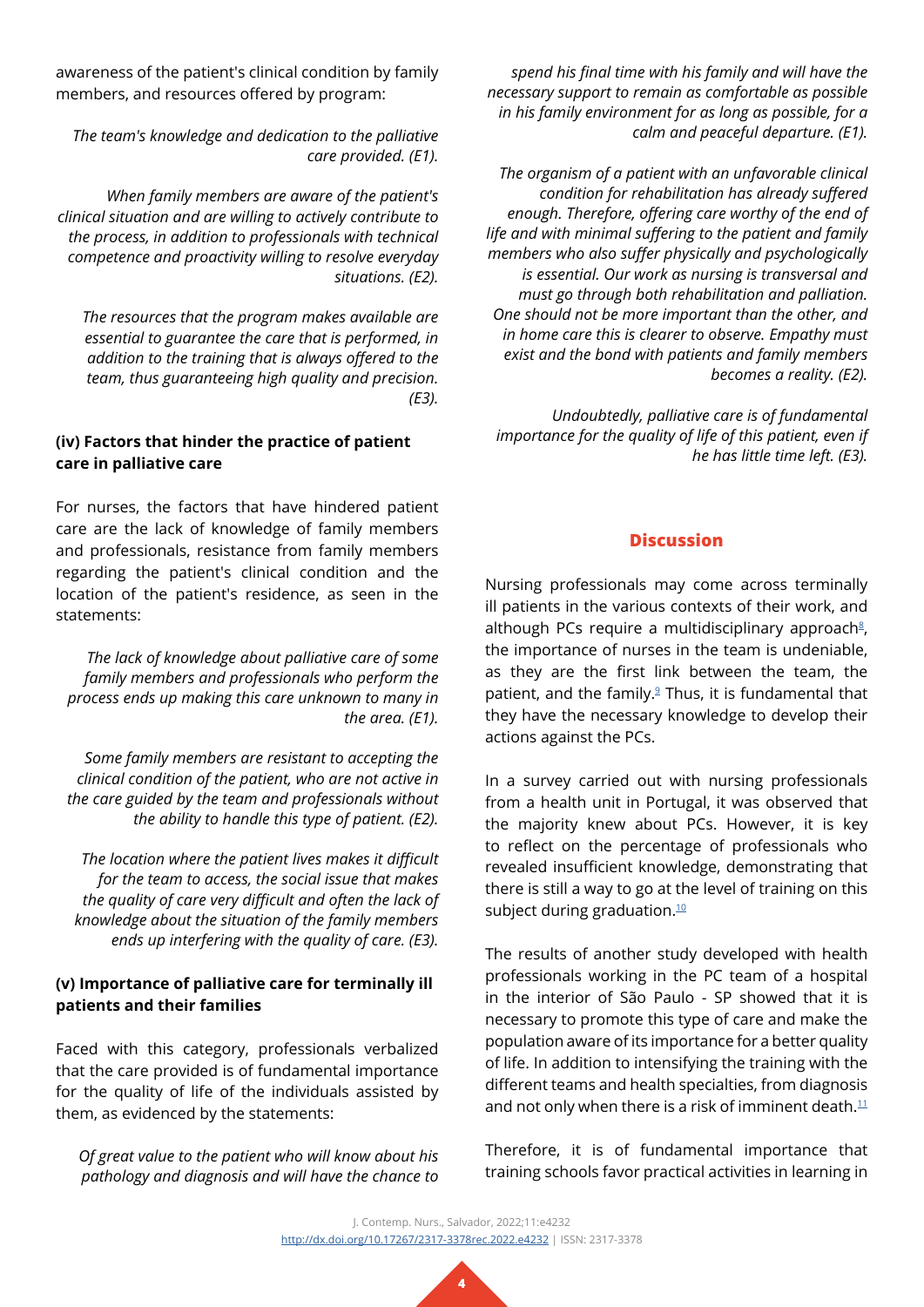awareness of the patient's clinical condition by family members, and resources offered by program:

*The team's knowledge and dedication to the palliative care provided. (E1).*

*When family members are aware of the patient's clinical situation and are willing to actively contribute to the process, in addition to professionals with technical competence and proactivity willing to resolve everyday situations. (E2).*

*The resources that the program makes available are essential to guarantee the care that is performed, in addition to the training that is always offered to the team, thus guaranteeing high quality and precision. (E3).*

# **(iv) Factors that hinder the practice of patient care in palliative care**

For nurses, the factors that have hindered patient care are the lack of knowledge of family members and professionals, resistance from family members regarding the patient's clinical condition and the location of the patient's residence, as seen in the statements:

*The lack of knowledge about palliative care of some family members and professionals who perform the process ends up making this care unknown to many in the area. (E1).*

*Some family members are resistant to accepting the clinical condition of the patient, who are not active in the care guided by the team and professionals without the ability to handle this type of patient. (E2).*

*The location where the patient lives makes it difficult for the team to access, the social issue that makes the quality of care very difficult and often the lack of knowledge about the situation of the family members ends up interfering with the quality of care. (E3).*

## **(v) Importance of palliative care for terminally ill patients and their families**

Faced with this category, professionals verbalized that the care provided is of fundamental importance for the quality of life of the individuals assisted by them, as evidenced by the statements:

*Of great value to the patient who will know about his pathology and diagnosis and will have the chance to* 

*spend his final time with his family and will have the necessary support to remain as comfortable as possible in his family environment for as long as possible, for a calm and peaceful departure. (E1).*

*The organism of a patient with an unfavorable clinical condition for rehabilitation has already suffered enough. Therefore, offering care worthy of the end of life and with minimal suffering to the patient and family members who also suffer physically and psychologically is essential. Our work as nursing is transversal and must go through both rehabilitation and palliation. One should not be more important than the other, and in home care this is clearer to observe. Empathy must exist and the bond with patients and family members becomes a reality. (E2).*

*Undoubtedly, palliative care is of fundamental importance for the quality of life of this patient, even if he has little time left. (E3).*

## **Discussion**

Nursing professionals may come across terminally ill patients in the various contexts of their work, and although PCs require a multidisciplinary approach<sup>8</sup>, the importance of nurses in the team is undeniable, as they are the first link between the team, the patient, and the family.<sup>[9](#page-5-8)</sup> Thus, it is fundamental that they have the necessary knowledge to develop their actions against the PCs.

In a survey carried out with nursing professionals from a health unit in Portugal, it was observed that the majority knew about PCs. However, it is key to reflect on the percentage of professionals who revealed insufficient knowledge, demonstrating that there is still a way to go at the level of training on this subject during graduation.<sup>[10](#page-6-0)</sup>

The results of another study developed with health professionals working in the PC team of a hospital in the interior of São Paulo - SP showed that it is necessary to promote this type of care and make the population aware of its importance for a better quality of life. In addition to intensifying the training with the different teams and health specialties, from diagnosis and not only when there is a risk of imminent death. $11$ 

Therefore, it is of fundamental importance that training schools favor practical activities in learning in

J. Contemp. Nurs., Salvador, 2022;11:e4232 <http://dx.doi.org/10.17267/2317-3378rec.2022.e4232>| ISSN: 2317-3378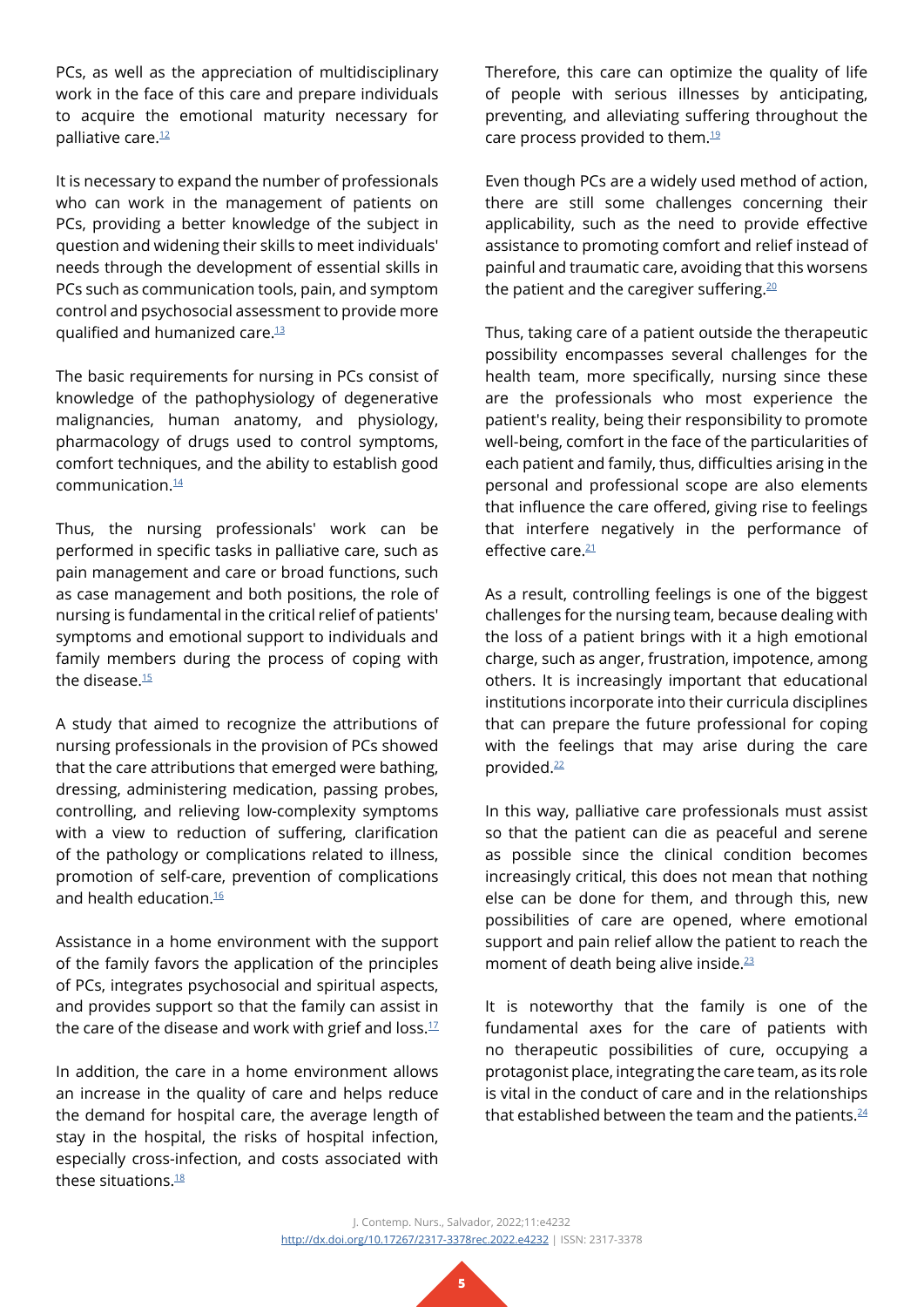PCs, as well as the appreciation of multidisciplinary work in the face of this care and prepare individuals to acquire the emotional maturity necessary for palliative care.<sup>[12](#page-6-2)</sup>

It is necessary to expand the number of professionals who can work in the management of patients on PCs, providing a better knowledge of the subject in question and widening their skills to meet individuals' needs through the development of essential skills in PCs such as communication tools, pain, and symptom control and psychosocial assessment to provide more qualified and humanized care.[13](#page-6-3)

The basic requirements for nursing in PCs consist of knowledge of the pathophysiology of degenerative malignancies, human anatomy, and physiology, pharmacology of drugs used to control symptoms, comfort techniques, and the ability to establish good communication[.14](#page-6-4)

Thus, the nursing professionals' work can be performed in specific tasks in palliative care, such as pain management and care or broad functions, such as case management and both positions, the role of nursing is fundamental in the critical relief of patients' symptoms and emotional support to individuals and family members during the process of coping with the disease.<sup>[15](#page-6-5)</sup>

A study that aimed to recognize the attributions of nursing professionals in the provision of PCs showed that the care attributions that emerged were bathing, dressing, administering medication, passing probes, controlling, and relieving low-complexity symptoms with a view to reduction of suffering, clarification of the pathology or complications related to illness, promotion of self-care, prevention of complications and health education. $16$ 

Assistance in a home environment with the support of the family favors the application of the principles of PCs, integrates psychosocial and spiritual aspects, and provides support so that the family can assist in the care of the disease and work with grief and loss. $17$ 

In addition, the care in a home environment allows an increase in the quality of care and helps reduce the demand for hospital care, the average length of stay in the hospital, the risks of hospital infection, especially cross-infection, and costs associated with these situations.<sup>18</sup>

Therefore, this care can optimize the quality of life of people with serious illnesses by anticipating, preventing, and alleviating suffering throughout the care process provided to them.<sup>[19](#page-6-9)</sup>

Even though PCs are a widely used method of action, there are still some challenges concerning their applicability, such as the need to provide effective assistance to promoting comfort and relief instead of painful and traumatic care, avoiding that this worsens the patient and the caregiver suffering. $20$ 

Thus, taking care of a patient outside the therapeutic possibility encompasses several challenges for the health team, more specifically, nursing since these are the professionals who most experience the patient's reality, being their responsibility to promote well-being, comfort in the face of the particularities of each patient and family, thus, difficulties arising in the personal and professional scope are also elements that influence the care offered, giving rise to feelings that interfere negatively in the performance of effective care.<sup>[21](#page-6-11)</sup>

As a result, controlling feelings is one of the biggest challenges for the nursing team, because dealing with the loss of a patient brings with it a high emotional charge, such as anger, frustration, impotence, among others. It is increasingly important that educational institutions incorporate into their curricula disciplines that can prepare the future professional for coping with the feelings that may arise during the care provided.<sup>[22](#page-6-12)</sup>

In this way, palliative care professionals must assist so that the patient can die as peaceful and serene as possible since the clinical condition becomes increasingly critical, this does not mean that nothing else can be done for them, and through this, new possibilities of care are opened, where emotional support and pain relief allow the patient to reach the moment of death being alive inside.<sup>23</sup>

It is noteworthy that the family is one of the fundamental axes for the care of patients with no therapeutic possibilities of cure, occupying a protagonist place, integrating the care team, as its role is vital in the conduct of care and in the relationships that established between the team and the patients. $^{24}$  $^{24}$  $^{24}$ 

J. Contemp. Nurs., Salvador, 2022;11:e4232 <http://dx.doi.org/10.17267/2317-3378rec.2022.e4232>| ISSN: 2317-3378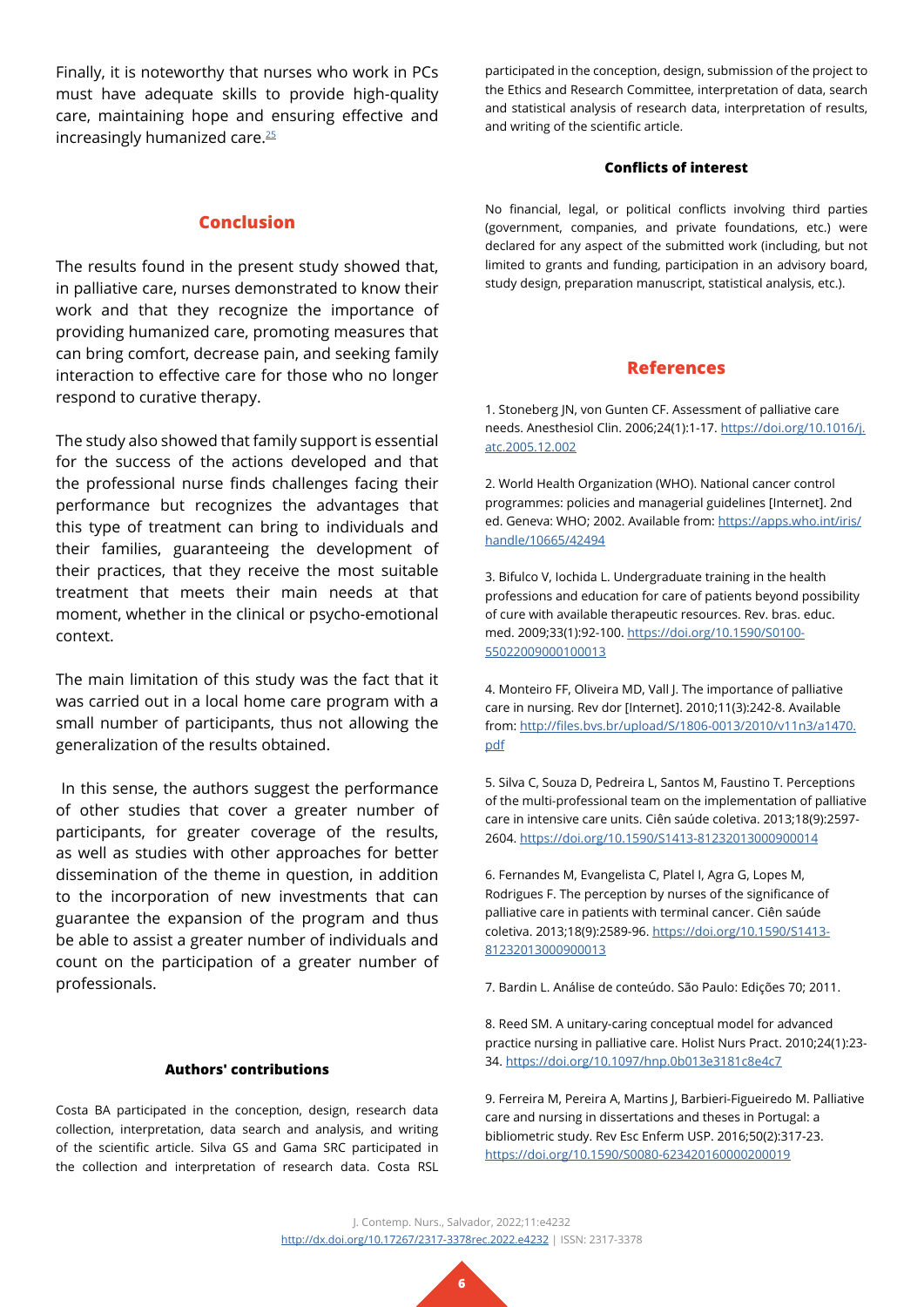Finally, it is noteworthy that nurses who work in PCs must have adequate skills to provide high-quality care, maintaining hope and ensuring effective and increasingly humanized care.<sup>25</sup>

#### **Conclusion**

The results found in the present study showed that, in palliative care, nurses demonstrated to know their work and that they recognize the importance of providing humanized care, promoting measures that can bring comfort, decrease pain, and seeking family interaction to effective care for those who no longer respond to curative therapy.

The study also showed that family support is essential for the success of the actions developed and that the professional nurse finds challenges facing their performance but recognizes the advantages that this type of treatment can bring to individuals and their families, guaranteeing the development of their practices, that they receive the most suitable treatment that meets their main needs at that moment, whether in the clinical or psycho-emotional context.

The main limitation of this study was the fact that it was carried out in a local home care program with a small number of participants, thus not allowing the generalization of the results obtained.

 In this sense, the authors suggest the performance of other studies that cover a greater number of participants, for greater coverage of the results, as well as studies with other approaches for better dissemination of the theme in question, in addition to the incorporation of new investments that can guarantee the expansion of the program and thus be able to assist a greater number of individuals and count on the participation of a greater number of professionals.

#### **Authors' contributions**

Costa BA participated in the conception, design, research data collection, interpretation, data search and analysis, and writing of the scientific article. Silva GS and Gama SRC participated in the collection and interpretation of research data. Costa RSL

participated in the conception, design, submission of the project to the Ethics and Research Committee, interpretation of data, search and statistical analysis of research data, interpretation of results, and writing of the scientific article.

#### **Conflicts of interest**

No financial, legal, or political conflicts involving third parties (government, companies, and private foundations, etc.) were declared for any aspect of the submitted work (including, but not limited to grants and funding, participation in an advisory board, study design, preparation manuscript, statistical analysis, etc.).

#### **References**

<span id="page-5-0"></span>1. Stoneberg JN, von Gunten CF. Assessment of palliative care needs. Anesthesiol Clin. 2006;24(1):1-17. [https://doi.org/10.1016/j.](https://doi.org/10.1016/j.atc.2005.12.002) [atc.2005.12.002](https://doi.org/10.1016/j.atc.2005.12.002)

<span id="page-5-1"></span>2. World Health Organization (WHO). National cancer control programmes: policies and managerial guidelines [Internet]. 2nd ed. Geneva: WHO; 2002. Available from: [https://apps.who.int/iris/](https://apps.who.int/iris/handle/10665/42494) [handle/10665/42494](https://apps.who.int/iris/handle/10665/42494)

<span id="page-5-2"></span>3. Bifulco V, Iochida L. Undergraduate training in the health professions and education for care of patients beyond possibility of cure with available therapeutic resources. Rev. bras. educ. med. 2009;33(1):92-100. [https://doi.org/10.1590/S0100-](https://doi.org/10.1590/S0100-55022009000100013) [55022009000100013](https://doi.org/10.1590/S0100-55022009000100013)

<span id="page-5-3"></span>4. Monteiro FF, Oliveira MD, Vall J. The importance of palliative care in nursing. Rev dor [Internet]. 2010;11(3):242-8. Available from: [http://files.bvs.br/upload/S/1806-0013/2010/v11n3/a1470.](http://files.bvs.br/upload/S/1806-0013/2010/v11n3/a1470.pdf) [pdf](http://files.bvs.br/upload/S/1806-0013/2010/v11n3/a1470.pdf)

<span id="page-5-4"></span>5. Silva C, Souza D, Pedreira L, Santos M, Faustino T. Perceptions of the multi-professional team on the implementation of palliative care in intensive care units. Ciên saúde coletiva. 2013;18(9):2597- 2604. <https://doi.org/10.1590/S1413-81232013000900014>

<span id="page-5-5"></span>6. Fernandes M, Evangelista C, Platel I, Agra G, Lopes M, Rodrigues F. The perception by nurses of the significance of palliative care in patients with terminal cancer. Ciên saúde coletiva. 2013;18(9):2589-96. [https://doi.org/10.1590/S1413-](https://doi.org/10.1590/S1413-81232013000900013) [81232013000900013](https://doi.org/10.1590/S1413-81232013000900013)

<span id="page-5-6"></span>7. Bardin L. Análise de conteúdo. São Paulo: Edições 70; 2011.

<span id="page-5-7"></span>8. Reed SM. A unitary-caring conceptual model for advanced practice nursing in palliative care. Holist Nurs Pract. 2010;24(1):23- 34. <https://doi.org/10.1097/hnp.0b013e3181c8e4c7>

<span id="page-5-8"></span>9. Ferreira M, Pereira A, Martins J, Barbieri-Figueiredo M. Palliative care and nursing in dissertations and theses in Portugal: a bibliometric study. Rev Esc Enferm USP. 2016;50(2):317-23. <https://doi.org/10.1590/S0080-623420160000200019>

J. Contemp. Nurs., Salvador, 2022;11:e4232 <http://dx.doi.org/10.17267/2317-3378rec.2022.e4232>| ISSN: 2317-3378